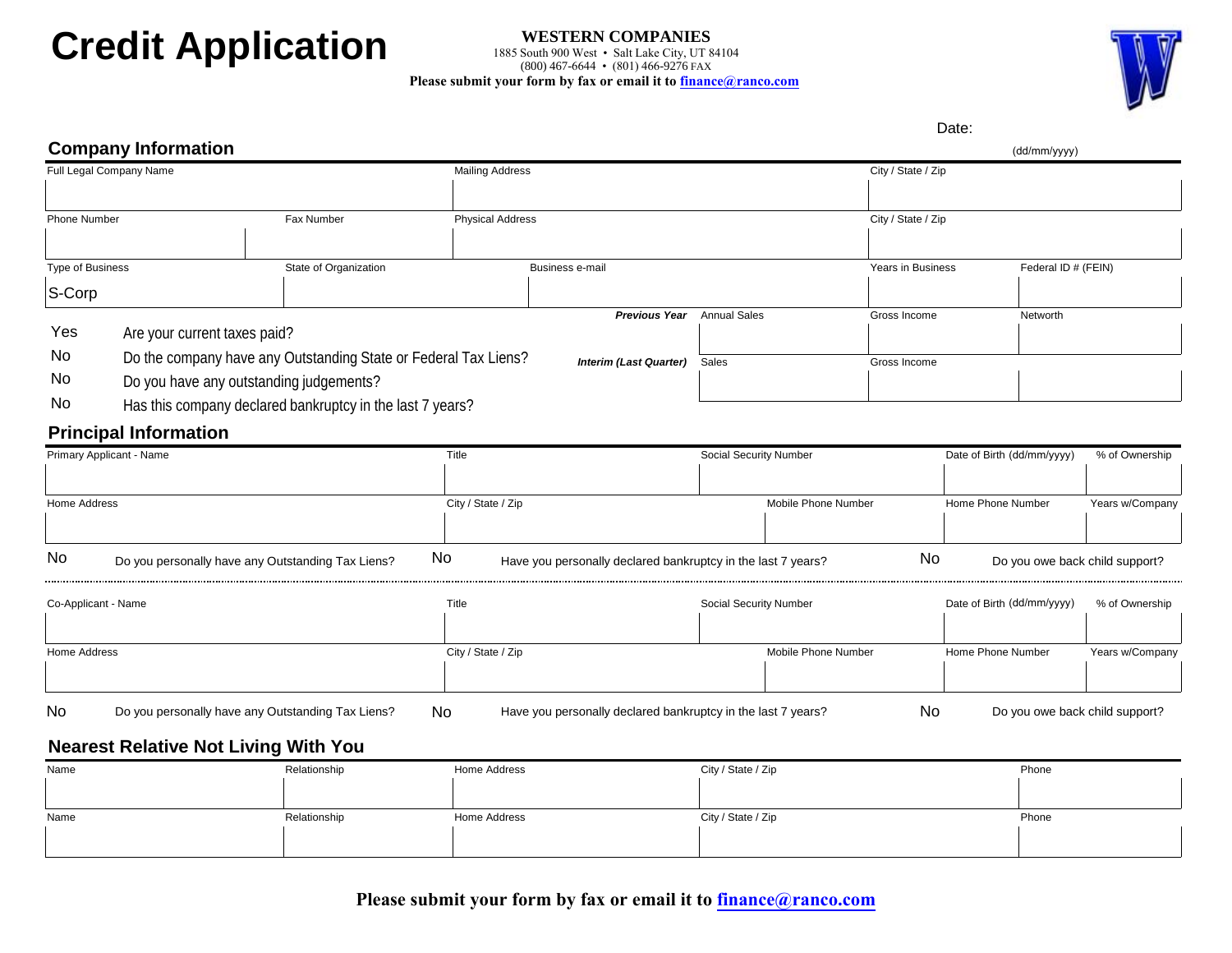# **Credit Application**

#### **WESTERN COMPANIES** 1885 South 900 West • Salt Lake City, UT 84104 (800) 467-6644 • (801) 466-9276 FAX **Please submit your form by fax or email it to finance@ranco.com**



## Date: **Company Information** Corp (dd/mm<br>
Truit paid Company Name<br>
Those Number<br>
The of Music Corp Paid of Corp (State of The Corp of State of The Corp of State of The Corp of Music Corp of Music<br>
Yes No Your Current taxes paid?<br>
Yes Anyour Current ta Full Legal Company Name City / State / Zip Phone Number Fax Number Physical Address City / State / Zip Type of Business State of Organization State of Organization Business e-mail State of Organization Business Federal ID # (FEIN) **Previous Year** Annual Sales **Come Come Come Server Annual Sales** Gross Income Are your current taxes paid? Do the company have any Outstanding State or Federal Tax Liens? **Interim (Last Quarter)** Sales Gross Income Do you have any outstanding judgements? Has this company declared bankruptcy in the last 7 years? **Principal Information** Primary Applicant - Name Social Security Number Number Date of Birth (dd/mm/yyyy) % of Ownership Home Address **City / State / Zip City / State / Zip** Mobile Phone Number Home Phone Number Years w/Company Do you personally have any Outstanding Tax Liens? No Have you personally declared bankruptcy in the last 7 years? No Do you owe back child support? Co-Applicant - Name Computer Computer Computer Computer Social Security Number Computer Computer Computer Computer Social Security Number Date of Birth (dd/mm/yyyy) % of Ownership Home Address **City / State / Zip City / State / Zip** Mobile Phone Number Home Phone Number Years w/Company No Do you personally have any Outstanding Tax Liens? No Have you personally declared bankruptcy in the last 7 years? No Do you owe back child support? **Nearest Relative Not Living With You** Name and the Relationship Home Address and City / State / Zip Phone Phone Phone Phone  $\mathbf{I}$  $\mathbf{L}$

| Name | Palationshin.<br>. | Home Address | City / State / Zip | Phone |
|------|--------------------|--------------|--------------------|-------|
|      |                    |              |                    |       |
|      |                    |              |                    |       |

**Please submit your form by fax or email it to finance@ranco.com**